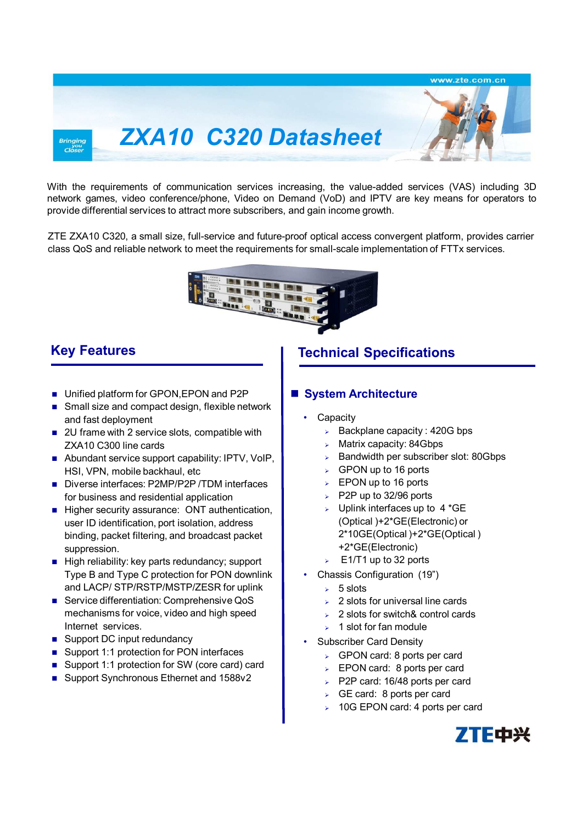

With the requirements of communication services increasing, the value-added services (VAS) including 3D network games, video conference/phone, Video on Demand (VoD) and IPTV are key means for operators to provide differential services to attract more subscribers, and gain income growth.

ZTE ZXA10 C320, a small size, full-service and future-proof optical access convergent platform, provides carrier class QoS and reliable network to meet the requirements for small-scale implementation of FTTx services.



- **Unified platform for GPON, EPON and P2P**
- Small size and compact design, flexible network and fast deployment
- 2U frame with 2 service slots, compatible with ZXA10 C300 line cards
- Abundant service support capability: IPTV, VoIP, HSI, VPN, mobile backhaul, etc
- Diverse interfaces: P2MP/P2P /TDM interfaces for business and residential application
- Higher security assurance: ONT authentication, user ID identification, port isolation, address binding, packet filtering, and broadcast packet suppression.
- $\blacksquare$  High reliability: key parts redundancy; support Type B and Type C protection for PON downlink and LACP/ STP/RSTP/MSTP/ZESR for uplink
- Service differentiation: Comprehensive QoS mechanisms for voice, video and high speed Internet services.
- Support DC input redundancy
- Support 1:1 protection for PON interfaces
- Support 1:1 protection for SW (core card) card
- Support Synchronous Ethernet and 1588v2

## **Key Features Technical Specifications**

### **System Architecture**

- **Capacity** 
	- $\triangleright$  Backplane capacity : 420G bps
	- Matrix capacity: 84Gbps
	- Bandwidth per subscriber slot: 80Gbps
	- GPON up to 16 ports
	- EPON up to 16 ports
	- $\triangleright$  P2P up to 32/96 ports
	- $\triangleright$  Uplink interfaces up to 4 \*GE (Optical )+2\*GE(Electronic) or 2\*10GE(Optical )+2\*GE(Optical ) +2\*GE(Electronic)
	- $\triangleright$  E1/T1 up to 32 ports
- Chassis Configuration (19")
	- $5$  slots
	- 2 slots for universal line cards
	- 2 slots for switch& control cards
	- 1 slot for fan module
- Subscriber Card Density
	- $\triangleright$  GPON card: 8 ports per card
	- > EPON card: 8 ports per card
	- $\ge$  P2P card: 16/48 ports per card
	- $\triangleright$  GE card: 8 ports per card
	- 10G EPON card: 4 ports per card

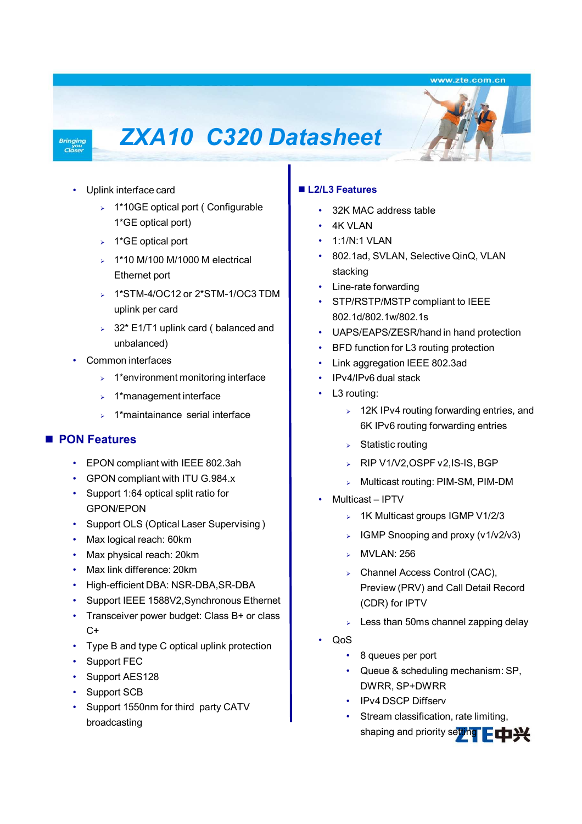www.zte.com.cn

#### **Bringing**  $C_{\text{loss}}^{yo}$

# *ZXA10 C320 Datasheet*



- > 1\*10GE optical port ( Configurable 1\*GE optical port)
- $\rightarrow$  1\*GE optical port
- $\geq 1*10$  M/100 M/1000 M electrical Ethernet port
- $\geq 1$ \*STM-4/OC12 or 2\*STM-1/OC3 TDM uplink per card
- $>$  32\* E1/T1 uplink card ( balanced and unbalanced)
- Common interfaces
	- $\geq 1$ \*environment monitoring interface
	- $\geq 1$ \*management interface
	- $\geq 1$ \*maintainance serial interface

### **PON Features**

- EPON compliant with IEEE 802.3ah
- GPON compliant with ITU G.984.x
- Support 1:64 optical split ratio for GPON/EPON
- Support OLS (Optical Laser Supervising )
- Max logical reach: 60km
- Max physical reach: 20km
- Max link difference: 20km
- High-efficient DBA: NSR-DBA,SR-DBA
- Support IEEE 1588V2,Synchronous Ethernet
- Transceiver power budget: Class B+ or class  $C+$
- Type B and type C optical uplink protection
- Support FEC
- Support AES128
- Support SCB
- Support 1550nm for third party CATV broadcasting

### **L2/L3 Features**

- 32K MAC address table
- 4K VLAN
- 1:1/N:1 VLAN
- 802.1ad, SVLAN, Selective QinQ, VLAN stacking
- Line-rate forwarding
- STP/RSTP/MSTP compliant to IEEE 802.1d/802.1w/802.1s
- UAPS/EAPS/ZESR/hand in hand protection
- BFD function for L3 routing protection
- Link aggregation IEEE 802.3ad
- IPv4/IPv6 dual stack
- L3 routing:
	- $\geq 12$ K IPv4 routing forwarding entries, and 6K IPv6 routing forwarding entries
	- $\triangleright$  Statistic routing
	- ▶ RIP V1/V2, OSPF v2, IS-IS, BGP
	- Multicast routing: PIM-SM, PIM-DM
- Multicast IPTV
	- $\geq$  1K Multicast groups IGMP V1/2/3
	- $\triangleright$  IGMP Snooping and proxy (v1/v2/v3)
	- **MVLAN: 256**
	- > Channel Access Control (CAC), Preview (PRV) and Call Detail Record (CDR) for IPTV
	- $\geq$  Less than 50ms channel zapping delay
- QoS
	- 8 queues per port
	- Queue & scheduling mechanism: SP, DWRR, SP+DWRR
	- IPv4 DSCP Diffserv
- **ZTE Multi-Service Access Solution** Copyright ZTE. All rights reserved • Stream classification, rate limiting, shaping and priority setting ELP